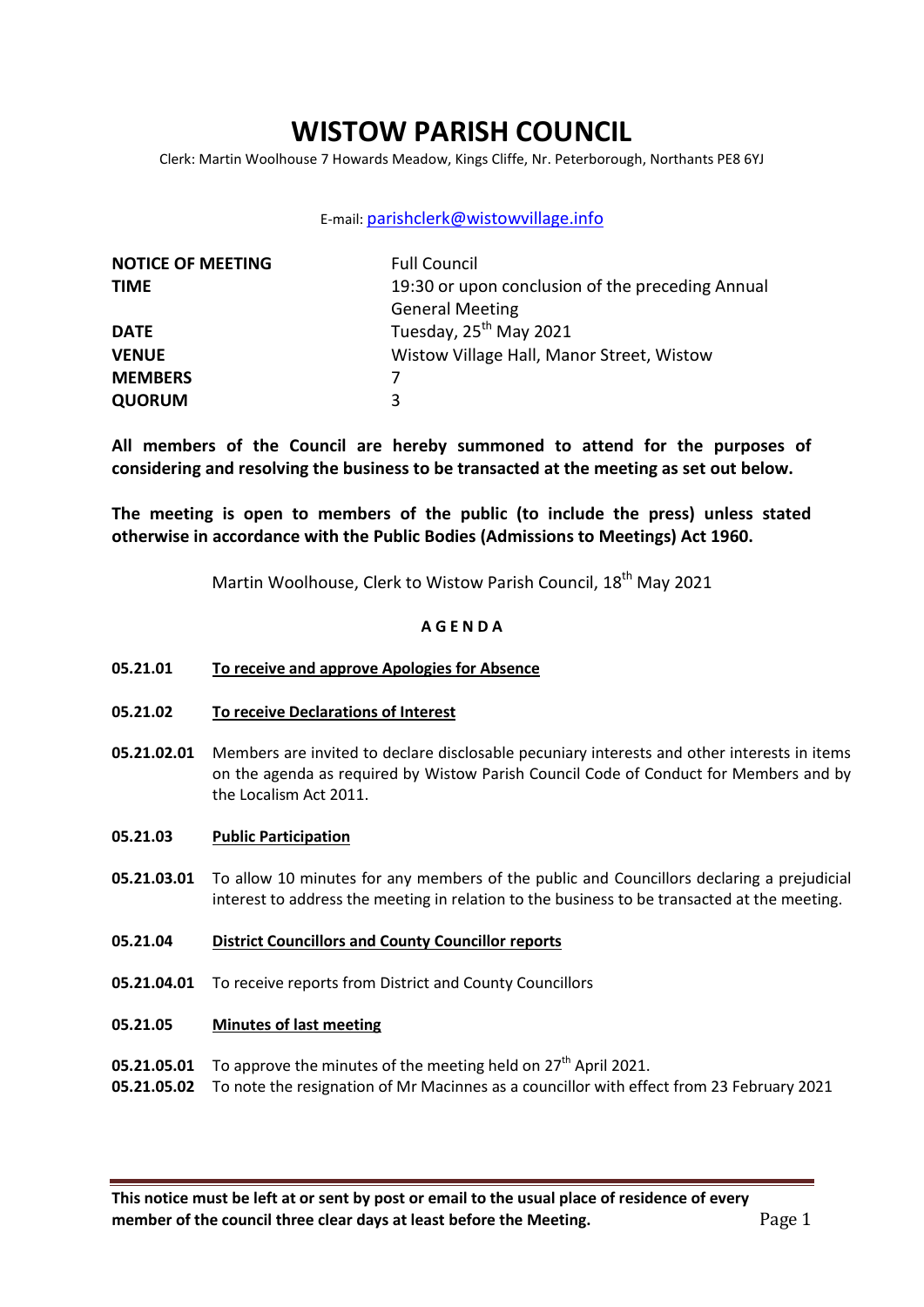# **WISTOW PARISH COUNCIL**

Clerk: Martin Woolhouse 7 Howards Meadow, Kings Cliffe, Nr. Peterborough, Northants PE8 6YJ

# E-mail: [parishclerk@wistowvillage.info](mailto:parishclerk@wistowvillage.info)

| <b>NOTICE OF MEETING</b> | <b>Full Council</b>                              |
|--------------------------|--------------------------------------------------|
| <b>TIME</b>              | 19:30 or upon conclusion of the preceding Annual |
|                          | <b>General Meeting</b>                           |
| <b>DATE</b>              | Tuesday, 25 <sup>th</sup> May 2021               |
| <b>VENUE</b>             | Wistow Village Hall, Manor Street, Wistow        |
| <b>MEMBERS</b>           | 7                                                |
| <b>QUORUM</b>            | 3                                                |

**All members of the Council are hereby summoned to attend for the purposes of considering and resolving the business to be transacted at the meeting as set out below.** 

**The meeting is open to members of the public (to include the press) unless stated otherwise in accordance with the Public Bodies (Admissions to Meetings) Act 1960.**

Martin Woolhouse, Clerk to Wistow Parish Council. 18<sup>th</sup> May 2021

# **A G E N D A**

- **05.21.01 To receive and approve Apologies for Absence**
- **05.21.02 To receive Declarations of Interest**
- **05.21.02.01** Members are invited to declare disclosable pecuniary interests and other interests in items on the agenda as required by Wistow Parish Council Code of Conduct for Members and by the Localism Act 2011.
- **05.21.03 Public Participation**
- **05.21.03.01** To allow 10 minutes for any members of the public and Councillors declaring a prejudicial interest to address the meeting in relation to the business to be transacted at the meeting.
- **05.21.04 District Councillors and County Councillor reports**
- **05.21.04.01** To receive reports from District and County Councillors
- **05.21.05 Minutes of last meeting**
- **05.21.05.01** To approve the minutes of the meeting held on 27<sup>th</sup> April 2021.
- **05.21.05.02** To note the resignation of Mr Macinnes as a councillor with effect from 23 February 2021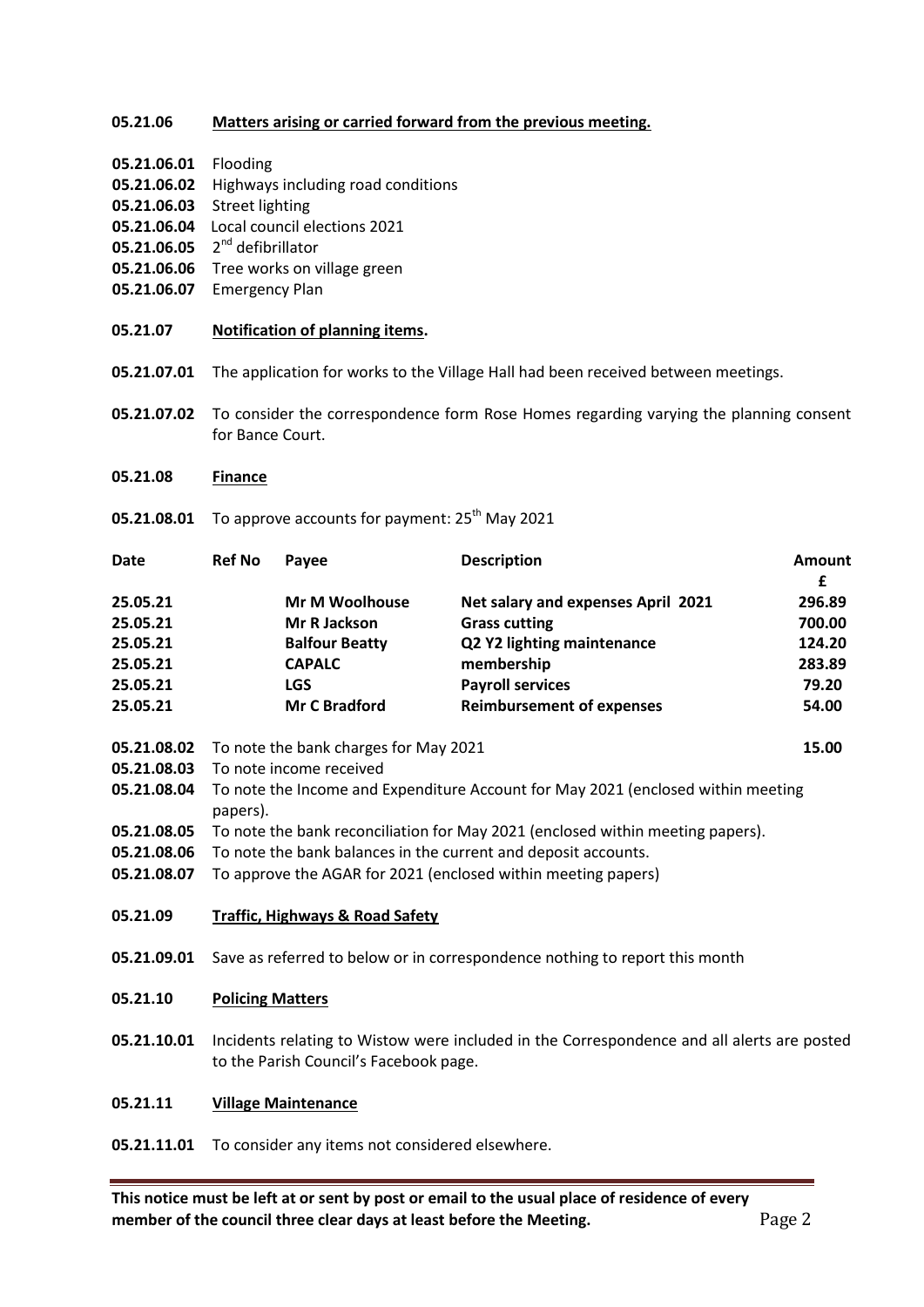# **05.21.06 Matters arising or carried forward from the previous meeting.**

- **05.21.06.01** Flooding
- **05.21.06.02** Highways including road conditions
- **05.21.06.03** Street lighting
- **05.21.06.04** Local council elections 2021
- **05.21.06.05** 2<sup>nd</sup> defibrillator
- **05.21.06.06** Tree works on village green
- **05.21.06.07** Emergency Plan
- **05.21.07 Notification of planning items.**
- **05.21.07.01** The application for works to the Village Hall had been received between meetings.
- **05.21.07.02** To consider the correspondence form Rose Homes regarding varying the planning consent for Bance Court.
- **05.21.08 Finance**
- **05.21.08.01** To approve accounts for payment: 25<sup>th</sup> May 2021

| <b>Date</b> | <b>Ref No</b> | Payee                 | <b>Description</b>                 | Amount |
|-------------|---------------|-----------------------|------------------------------------|--------|
|             |               |                       |                                    | £      |
| 25.05.21    |               | <b>Mr M Woolhouse</b> | Net salary and expenses April 2021 | 296.89 |
| 25.05.21    |               | Mr R Jackson          | <b>Grass cutting</b>               | 700.00 |
| 25.05.21    |               | <b>Balfour Beatty</b> | Q2 Y2 lighting maintenance         | 124.20 |
| 25.05.21    |               | <b>CAPALC</b>         | membership                         | 283.89 |
| 25.05.21    |               | <b>LGS</b>            | <b>Payroll services</b>            | 79.20  |
| 25.05.21    |               | <b>Mr C Bradford</b>  | <b>Reimbursement of expenses</b>   | 54.00  |

- **05.21.08.02** To note the bank charges for May 2021 **15.00**
- **05.21.08.03** To note income received
- **05.21.08.04** To note the Income and Expenditure Account for May 2021 (enclosed within meeting papers).
- **05.21.08.05** To note the bank reconciliation for May 2021 (enclosed within meeting papers).
- **05.21.08.06** To note the bank balances in the current and deposit accounts.
- **05.21.08.07** To approve the AGAR for 2021 (enclosed within meeting papers)

#### **05.21.09 Traffic, Highways & Road Safety**

**05.21.09.01** Save as referred to below or in correspondence nothing to report this month

### **05.21.10 Policing Matters**

**05.21.10.01** Incidents relating to Wistow were included in the Correspondence and all alerts are posted to the Parish Council's Facebook page.

#### **05.21.11 Village Maintenance**

**05.21.11.01** To consider any items not considered elsewhere.